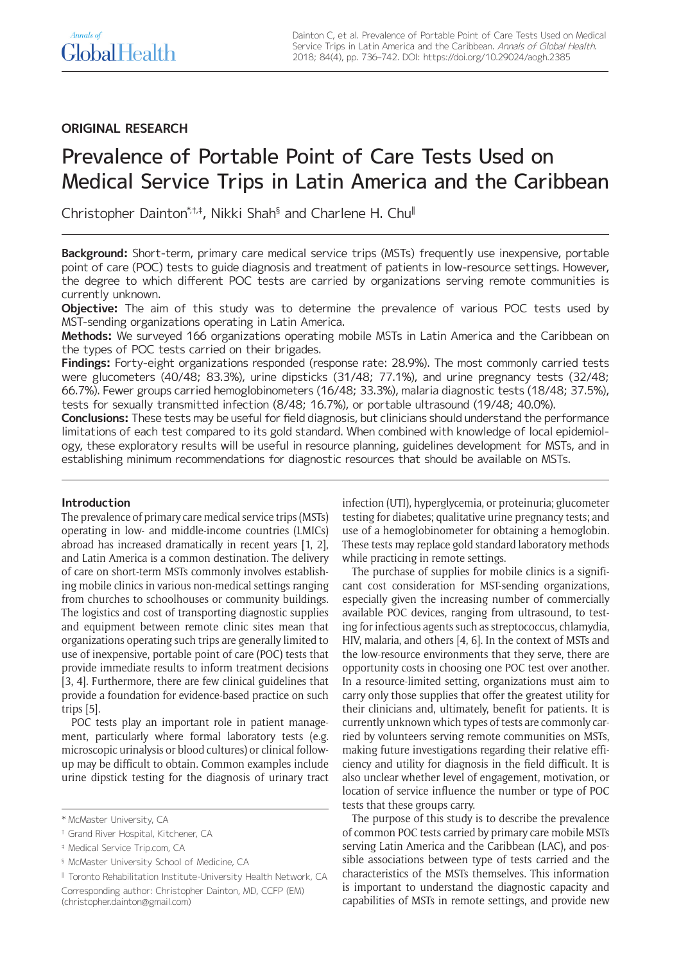# **ORIGINAL RESEARCH**

# Prevalence of Portable Point of Care Tests Used on Medical Service Trips in Latin America and the Caribbean

Christopher Dainton\*,†,\*, Nikki Shah§ and Charlene H. Chu∥

**Background:** Short-term, primary care medical service trips (MSTs) frequently use inexpensive, portable point of care (POC) tests to guide diagnosis and treatment of patients in low-resource settings. However, the degree to which different POC tests are carried by organizations serving remote communities is currently unknown.

**Objective:** The aim of this study was to determine the prevalence of various POC tests used by MST-sending organizations operating in Latin America.

**Methods:** We surveyed 166 organizations operating mobile MSTs in Latin America and the Caribbean on the types of POC tests carried on their brigades.

**Findings:** Forty-eight organizations responded (response rate: 28.9%). The most commonly carried tests were glucometers (40/48; 83.3%), urine dipsticks (31/48; 77.1%), and urine pregnancy tests (32/48; 66.7%). Fewer groups carried hemoglobinometers (16/48; 33.3%), malaria diagnostic tests (18/48; 37.5%), tests for sexually transmitted infection (8/48; 16.7%), or portable ultrasound (19/48; 40.0%).

**Conclusions:** These tests may be useful for field diagnosis, but clinicians should understand the performance limitations of each test compared to its gold standard. When combined with knowledge of local epidemiology, these exploratory results will be useful in resource planning, guidelines development for MSTs, and in establishing minimum recommendations for diagnostic resources that should be available on MSTs.

# **Introduction**

The prevalence of primary care medical service trips (MSTs) operating in low- and middle-income countries (LMICs) abroad has increased dramatically in recent years [1, 2], and Latin America is a common destination. The delivery of care on short-term MSTs commonly involves establishing mobile clinics in various non-medical settings ranging from churches to schoolhouses or community buildings. The logistics and cost of transporting diagnostic supplies and equipment between remote clinic sites mean that organizations operating such trips are generally limited to use of inexpensive, portable point of care (POC) tests that provide immediate results to inform treatment decisions [3, 4]. Furthermore, there are few clinical guidelines that provide a foundation for evidence-based practice on such trips [5].

POC tests play an important role in patient management, particularly where formal laboratory tests (e.g. microscopic urinalysis or blood cultures) or clinical followup may be difficult to obtain. Common examples include urine dipstick testing for the diagnosis of urinary tract

§ McMaster University School of Medicine, CA

‖ Toronto Rehabilitation Institute-University Health Network, CA Corresponding author: Christopher Dainton, MD, CCFP (EM) [\(christopher.dainton@gmail.com](mailto:christopher.dainton@gmail.com))

infection (UTI), hyperglycemia, or proteinuria; glucometer testing for diabetes; qualitative urine pregnancy tests; and use of a hemoglobinometer for obtaining a hemoglobin. These tests may replace gold standard laboratory methods while practicing in remote settings.

The purchase of supplies for mobile clinics is a significant cost consideration for MST-sending organizations, especially given the increasing number of commercially available POC devices, ranging from ultrasound, to testing for infectious agents such as streptococcus, chlamydia, HIV, malaria, and others [4, 6]. In the context of MSTs and the low-resource environments that they serve, there are opportunity costs in choosing one POC test over another. In a resource-limited setting, organizations must aim to carry only those supplies that offer the greatest utility for their clinicians and, ultimately, benefit for patients. It is currently unknown which types of tests are commonly carried by volunteers serving remote communities on MSTs, making future investigations regarding their relative efficiency and utility for diagnosis in the field difficult. It is also unclear whether level of engagement, motivation, or location of service influence the number or type of POC tests that these groups carry.

The purpose of this study is to describe the prevalence of common POC tests carried by primary care mobile MSTs serving Latin America and the Caribbean (LAC), and possible associations between type of tests carried and the characteristics of the MSTs themselves. This information is important to understand the diagnostic capacity and capabilities of MSTs in remote settings, and provide new

<sup>\*</sup> McMaster University, CA

<sup>†</sup> Grand River Hospital, Kitchener, CA

<sup>‡</sup> Medical Service [Trip.com,](http://www.Trip.com) CA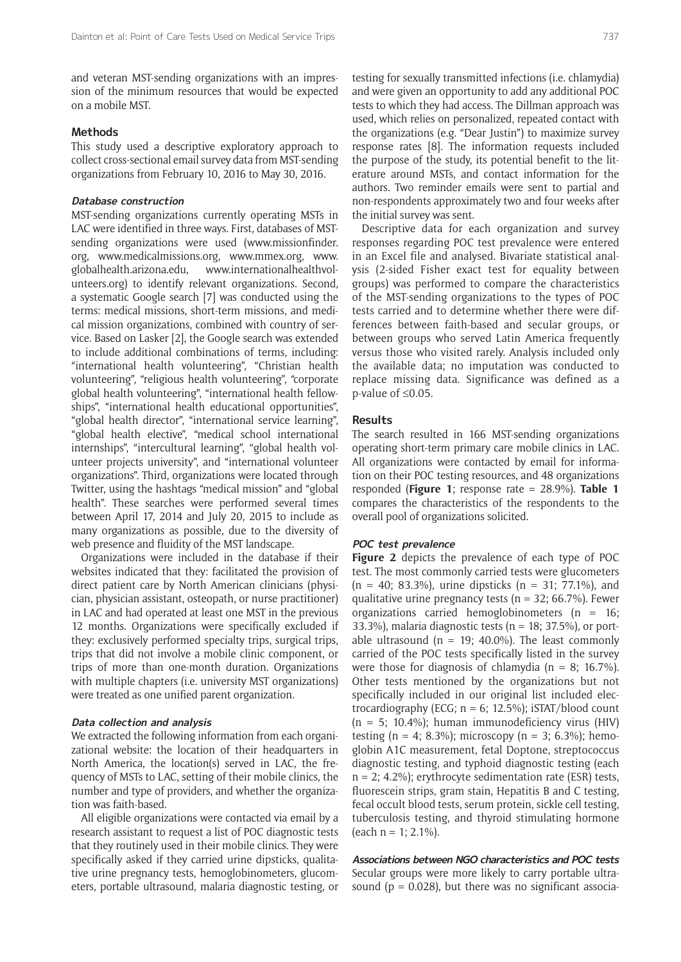and veteran MST-sending organizations with an impression of the minimum resources that would be expected on a mobile MST.

# **Methods**

This study used a descriptive exploratory approach to collect cross-sectional email survey data from MST-sending organizations from February 10, 2016 to May 30, 2016.

## **Database construction**

MST-sending organizations currently operating MSTs in LAC were identified in three ways. First, databases of MSTsending organizations were used [\(www.missionfinder.](www.missionfinder.org) [org,](www.missionfinder.org) [www.medicalmissions.org,](http://medicalmissions.org/) [www.mmex.org,](http://www.mmex.org/) [www.](https://www.globalhealth.arizona.edu/) [globalhealth.arizona.edu,](https://www.globalhealth.arizona.edu/) [www.internationalhealthvol](http://www.internationalhealthvolunteers.org)[unteers.org\)](http://www.internationalhealthvolunteers.org) to identify relevant organizations. Second, a systematic Google search [7] was conducted using the terms: medical missions, short-term missions, and medical mission organizations, combined with country of service. Based on Lasker [2], the Google search was extended to include additional combinations of terms, including: "international health volunteering", "Christian health volunteering", "religious health volunteering", "corporate global health volunteering", "international health fellowships", "international health educational opportunities", "global health director", "international service learning", "global health elective", "medical school international internships", "intercultural learning", "global health volunteer projects university", and "international volunteer organizations". Third, organizations were located through Twitter, using the hashtags "medical mission" and "global health". These searches were performed several times between April 17, 2014 and July 20, 2015 to include as many organizations as possible, due to the diversity of web presence and fluidity of the MST landscape.

Organizations were included in the database if their websites indicated that they: facilitated the provision of direct patient care by North American clinicians (physician, physician assistant, osteopath, or nurse practitioner) in LAC and had operated at least one MST in the previous 12 months. Organizations were specifically excluded if they: exclusively performed specialty trips, surgical trips, trips that did not involve a mobile clinic component, or trips of more than one-month duration. Organizations with multiple chapters (i.e. university MST organizations) were treated as one unified parent organization.

## **Data collection and analysis**

We extracted the following information from each organizational website: the location of their headquarters in North America, the location(s) served in LAC, the frequency of MSTs to LAC, setting of their mobile clinics, the number and type of providers, and whether the organization was faith-based.

All eligible organizations were contacted via email by a research assistant to request a list of POC diagnostic tests that they routinely used in their mobile clinics. They were specifically asked if they carried urine dipsticks, qualitative urine pregnancy tests, hemoglobinometers, glucometers, portable ultrasound, malaria diagnostic testing, or testing for sexually transmitted infections (i.e. chlamydia) and were given an opportunity to add any additional POC tests to which they had access. The Dillman approach was used, which relies on personalized, repeated contact with the organizations (e.g. "Dear Justin") to maximize survey response rates [8]. The information requests included the purpose of the study, its potential benefit to the literature around MSTs, and contact information for the authors. Two reminder emails were sent to partial and non-respondents approximately two and four weeks after the initial survey was sent.

Descriptive data for each organization and survey responses regarding POC test prevalence were entered in an Excel file and analysed. Bivariate statistical analysis (2-sided Fisher exact test for equality between groups) was performed to compare the characteristics of the MST-sending organizations to the types of POC tests carried and to determine whether there were differences between faith-based and secular groups, or between groups who served Latin America frequently versus those who visited rarely. Analysis included only the available data; no imputation was conducted to replace missing data. Significance was defined as a p-value of ≤0.05.

## **Results**

The search resulted in 166 MST-sending organizations operating short-term primary care mobile clinics in LAC. All organizations were contacted by email for information on their POC testing resources, and 48 organizations responded (**Figure 1**; response rate = 28.9%). **Table 1** compares the characteristics of the respondents to the overall pool of organizations solicited.

## **POC test prevalence**

**Figure 2** depicts the prevalence of each type of POC test. The most commonly carried tests were glucometers  $(n = 40; 83.3\%)$ , urine dipsticks  $(n = 31; 77.1\%)$ , and qualitative urine pregnancy tests ( $n = 32$ ; 66.7%). Fewer organizations carried hemoglobinometers  $(n = 16)$ ; 33.3%), malaria diagnostic tests ( $n = 18$ ; 37.5%), or portable ultrasound ( $n = 19$ ; 40.0%). The least commonly carried of the POC tests specifically listed in the survey were those for diagnosis of chlamydia ( $n = 8$ ; 16.7%). Other tests mentioned by the organizations but not specifically included in our original list included electrocardiography (ECG;  $n = 6$ ; 12.5%); iSTAT/blood count (n = 5; 10.4%); human immunodeficiency virus (HIV) testing (n = 4; 8.3%); microscopy (n = 3; 6.3%); hemoglobin A1C measurement, fetal Doptone, streptococcus diagnostic testing, and typhoid diagnostic testing (each  $n = 2$ ; 4.2%); erythrocyte sedimentation rate (ESR) tests, fluorescein strips, gram stain, Hepatitis B and C testing, fecal occult blood tests, serum protein, sickle cell testing, tuberculosis testing, and thyroid stimulating hormone (each n = 1; 2.1%).

**Associations between NGO characteristics and POC tests** Secular groups were more likely to carry portable ultrasound ( $p = 0.028$ ), but there was no significant associa-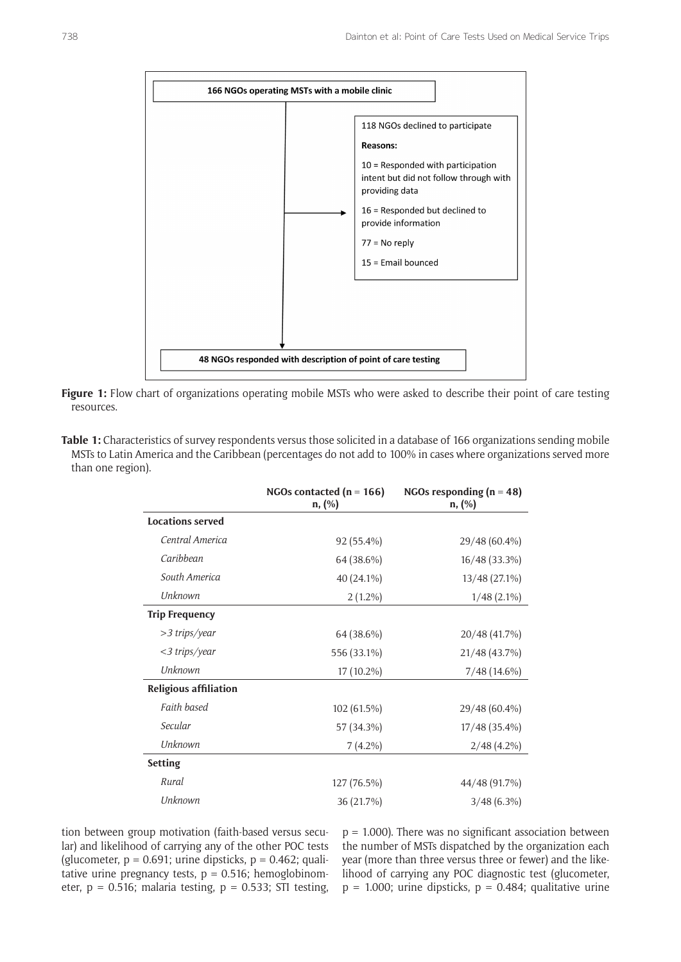



| Table 1: Characteristics of survey respondents versus those solicited in a database of 166 organizations sending mobile |
|-------------------------------------------------------------------------------------------------------------------------|
| MSTs to Latin America and the Caribbean (percentages do not add to 100% in cases where organizations served more        |
| than one region).                                                                                                       |

|                              | NGOs contacted $(n = 166)$<br>$n,$ $(\%)$ | NGOs responding ( $n = 48$ )<br>$n,$ $(\%)$ |
|------------------------------|-------------------------------------------|---------------------------------------------|
| <b>Locations served</b>      |                                           |                                             |
| Central America              | 92 (55.4%)                                | 29/48 (60.4%)                               |
| Caribbean                    | 64 (38.6%)                                | 16/48 (33.3%)                               |
| South America                | 40 (24.1%)                                | 13/48 (27.1%)                               |
| <b>Unknown</b>               | $2(1.2\%)$                                | $1/48$ (2.1%)                               |
| <b>Trip Frequency</b>        |                                           |                                             |
| >3 trips/year                | 64 (38.6%)                                | 20/48 (41.7%)                               |
| <3 trips/year                | 556 (33.1%)                               | 21/48 (43.7%)                               |
| <b>Unknown</b>               | 17 (10.2%)                                | $7/48(14.6\%)$                              |
| <b>Religious affiliation</b> |                                           |                                             |
| Faith based                  | 102(61.5%)                                | 29/48 (60.4%)                               |
| Secular                      | 57 (34.3%)                                | 17/48 (35.4%)                               |
| <b>Unknown</b>               | $7(4.2\%)$                                | $2/48(4.2\%)$                               |
| <b>Setting</b>               |                                           |                                             |
| Rural                        | 127 (76.5%)                               | 44/48 (91.7%)                               |
| <b>Unknown</b>               | 36 (21.7%)                                | $3/48(6.3\%)$                               |

tion between group motivation (faith-based versus secular) and likelihood of carrying any of the other POC tests (glucometer,  $p = 0.691$ ; urine dipsticks,  $p = 0.462$ ; qualitative urine pregnancy tests,  $p = 0.516$ ; hemoglobinometer,  $p = 0.516$ ; malaria testing,  $p = 0.533$ ; STI testing,

 $p = 1.000$ ). There was no significant association between the number of MSTs dispatched by the organization each year (more than three versus three or fewer) and the likelihood of carrying any POC diagnostic test (glucometer,  $p = 1.000$ ; urine dipsticks,  $p = 0.484$ ; qualitative urine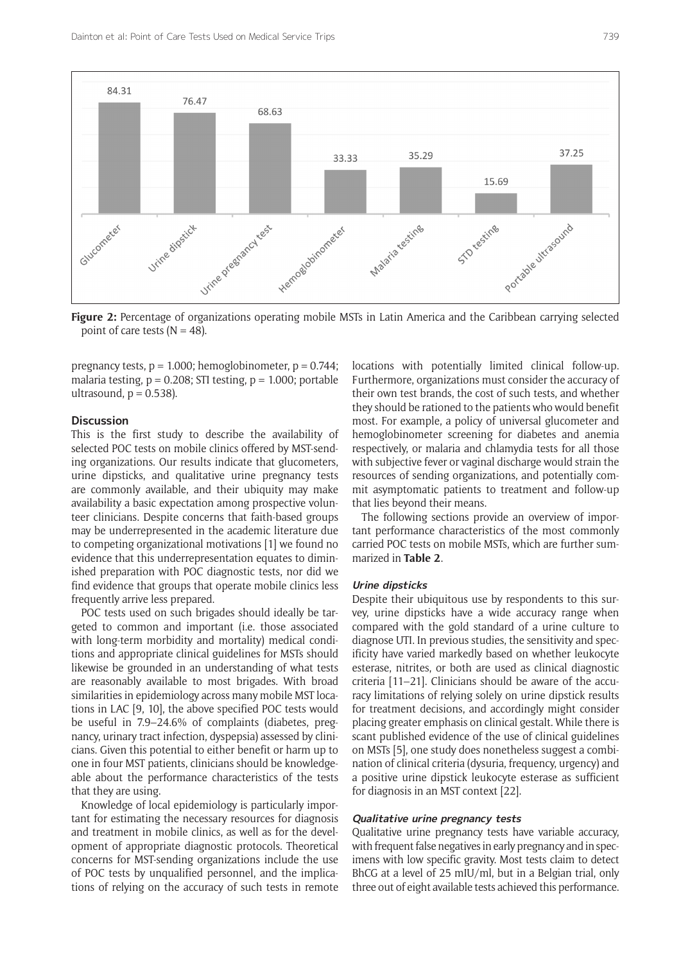

**Figure 2:** Percentage of organizations operating mobile MSTs in Latin America and the Caribbean carrying selected point of care tests  $(N = 48)$ .

pregnancy tests,  $p = 1.000$ ; hemoglobinometer,  $p = 0.744$ ; malaria testing,  $p = 0.208$ ; STI testing,  $p = 1.000$ ; portable ultrasound,  $p = 0.538$ ).

# **Discussion**

This is the first study to describe the availability of selected POC tests on mobile clinics offered by MST-sending organizations. Our results indicate that glucometers, urine dipsticks, and qualitative urine pregnancy tests are commonly available, and their ubiquity may make availability a basic expectation among prospective volunteer clinicians. Despite concerns that faith-based groups may be underrepresented in the academic literature due to competing organizational motivations [1] we found no evidence that this underrepresentation equates to diminished preparation with POC diagnostic tests, nor did we find evidence that groups that operate mobile clinics less frequently arrive less prepared.

POC tests used on such brigades should ideally be targeted to common and important (i.e. those associated with long-term morbidity and mortality) medical conditions and appropriate clinical guidelines for MSTs should likewise be grounded in an understanding of what tests are reasonably available to most brigades. With broad similarities in epidemiology across many mobile MST locations in LAC [9, 10], the above specified POC tests would be useful in 7.9–24.6% of complaints (diabetes, pregnancy, urinary tract infection, dyspepsia) assessed by clinicians. Given this potential to either benefit or harm up to one in four MST patients, clinicians should be knowledgeable about the performance characteristics of the tests that they are using.

Knowledge of local epidemiology is particularly important for estimating the necessary resources for diagnosis and treatment in mobile clinics, as well as for the development of appropriate diagnostic protocols. Theoretical concerns for MST-sending organizations include the use of POC tests by unqualified personnel, and the implications of relying on the accuracy of such tests in remote

locations with potentially limited clinical follow-up. Furthermore, organizations must consider the accuracy of their own test brands, the cost of such tests, and whether they should be rationed to the patients who would benefit most. For example, a policy of universal glucometer and hemoglobinometer screening for diabetes and anemia respectively, or malaria and chlamydia tests for all those with subjective fever or vaginal discharge would strain the resources of sending organizations, and potentially commit asymptomatic patients to treatment and follow-up that lies beyond their means.

The following sections provide an overview of important performance characteristics of the most commonly carried POC tests on mobile MSTs, which are further summarized in **Table 2**.

#### **Urine dipsticks**

Despite their ubiquitous use by respondents to this survey, urine dipsticks have a wide accuracy range when compared with the gold standard of a urine culture to diagnose UTI. In previous studies, the sensitivity and specificity have varied markedly based on whether leukocyte esterase, nitrites, or both are used as clinical diagnostic criteria [11–21]. Clinicians should be aware of the accuracy limitations of relying solely on urine dipstick results for treatment decisions, and accordingly might consider placing greater emphasis on clinical gestalt. While there is scant published evidence of the use of clinical guidelines on MSTs [5], one study does nonetheless suggest a combination of clinical criteria (dysuria, frequency, urgency) and a positive urine dipstick leukocyte esterase as sufficient for diagnosis in an MST context [22].

# **Qualitative urine pregnancy tests**

Qualitative urine pregnancy tests have variable accuracy, with frequent false negatives in early pregnancy and in specimens with low specific gravity. Most tests claim to detect BhCG at a level of 25 mIU/ml, but in a Belgian trial, only three out of eight available tests achieved this performance.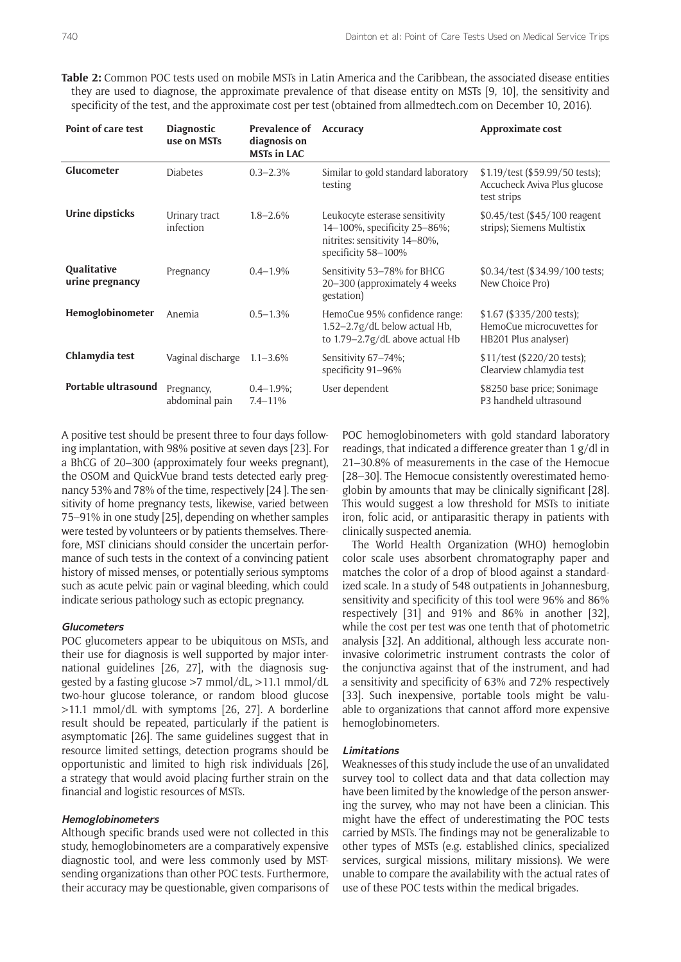**Table 2:** Common POC tests used on mobile MSTs in Latin America and the Caribbean, the associated disease entities they are used to diagnose, the approximate prevalence of that disease entity on MSTs [9, 10], the sensitivity and specificity of the test, and the approximate cost per test (obtained from [allmedtech.com](https://allmedtech.com/) on December 10, 2016).

| Point of care test                    | <b>Diagnostic</b><br>use on MSTs | <b>Prevalence of</b><br>diagnosis on<br><b>MSTs in LAC</b> | <b>Accuracy</b>                                                                                                        | Approximate cost                                                               |
|---------------------------------------|----------------------------------|------------------------------------------------------------|------------------------------------------------------------------------------------------------------------------------|--------------------------------------------------------------------------------|
| Glucometer                            | <b>Diabetes</b>                  | $0.3 - 2.3\%$                                              | Similar to gold standard laboratory<br>testing                                                                         | \$1.19/test (\$59.99/50 tests);<br>Accucheck Aviva Plus glucose<br>test strips |
| <b>Urine dipsticks</b>                | Urinary tract<br>infection       | $1.8 - 2.6\%$                                              | Leukocyte esterase sensitivity<br>14-100%, specificity 25-86%;<br>nitrites: sensitivity 14-80%,<br>specificity 58-100% | \$0.45/test (\$45/100 reagent<br>strips); Siemens Multistix                    |
| <b>Qualitative</b><br>urine pregnancy | Pregnancy                        | $0.4 - 1.9\%$                                              | Sensitivity 53-78% for BHCG<br>20-300 (approximately 4 weeks<br>gestation)                                             | \$0.34/test (\$34.99/100 tests;<br>New Choice Pro)                             |
| Hemoglobinometer                      | Anemia                           | $0.5 - 1.3\%$                                              | HemoCue 95% confidence range:<br>1.52-2.7g/dL below actual Hb,<br>to 1.79-2.7g/dL above actual Hb                      | \$1.67 (\$335/200 tests);<br>HemoCue microcuvettes for<br>HB201 Plus analyser) |
| Chlamydia test                        | Vaginal discharge                | $1.1 - 3.6\%$                                              | Sensitivity 67-74%;<br>specificity 91-96%                                                                              | \$11/test (\$220/20 tests);<br>Clearview chlamydia test                        |
| Portable ultrasound                   | Pregnancy,<br>abdominal pain     | $0.4 - 1.9\%$<br>$7.4 - 11\%$                              | User dependent                                                                                                         | \$8250 base price; Sonimage<br>P3 handheld ultrasound                          |

A positive test should be present three to four days following implantation, with 98% positive at seven days [23]. For a BhCG of 20–300 (approximately four weeks pregnant), the OSOM and QuickVue brand tests detected early pregnancy 53% and 78% of the time, respectively [24 ]. The sensitivity of home pregnancy tests, likewise, varied between 75–91% in one study [25], depending on whether samples were tested by volunteers or by patients themselves. Therefore, MST clinicians should consider the uncertain performance of such tests in the context of a convincing patient history of missed menses, or potentially serious symptoms such as acute pelvic pain or vaginal bleeding, which could indicate serious pathology such as ectopic pregnancy.

# **Glucometers**

POC glucometers appear to be ubiquitous on MSTs, and their use for diagnosis is well supported by major international guidelines [26, 27], with the diagnosis suggested by a fasting glucose >7 mmol/dL, >11.1 mmol/dL two-hour glucose tolerance, or random blood glucose >11.1 mmol/dL with symptoms [26, 27]. A borderline result should be repeated, particularly if the patient is asymptomatic [26]. The same guidelines suggest that in resource limited settings, detection programs should be opportunistic and limited to high risk individuals [26], a strategy that would avoid placing further strain on the financial and logistic resources of MSTs.

## **Hemoglobinometers**

Although specific brands used were not collected in this study, hemoglobinometers are a comparatively expensive diagnostic tool, and were less commonly used by MSTsending organizations than other POC tests. Furthermore, their accuracy may be questionable, given comparisons of

POC hemoglobinometers with gold standard laboratory readings, that indicated a difference greater than 1 g/dl in 21–30.8% of measurements in the case of the Hemocue [28–30]. The Hemocue consistently overestimated hemoglobin by amounts that may be clinically significant [28]. This would suggest a low threshold for MSTs to initiate iron, folic acid, or antiparasitic therapy in patients with clinically suspected anemia.

The World Health Organization (WHO) hemoglobin color scale uses absorbent chromatography paper and matches the color of a drop of blood against a standardized scale. In a study of 548 outpatients in Johannesburg, sensitivity and specificity of this tool were 96% and 86% respectively [31] and 91% and 86% in another [32], while the cost per test was one tenth that of photometric analysis [32]. An additional, although less accurate noninvasive colorimetric instrument contrasts the color of the conjunctiva against that of the instrument, and had a sensitivity and specificity of 63% and 72% respectively [33]. Such inexpensive, portable tools might be valuable to organizations that cannot afford more expensive hemoglobinometers.

## **Limitations**

Weaknesses of this study include the use of an unvalidated survey tool to collect data and that data collection may have been limited by the knowledge of the person answering the survey, who may not have been a clinician. This might have the effect of underestimating the POC tests carried by MSTs. The findings may not be generalizable to other types of MSTs (e.g. established clinics, specialized services, surgical missions, military missions). We were unable to compare the availability with the actual rates of use of these POC tests within the medical brigades.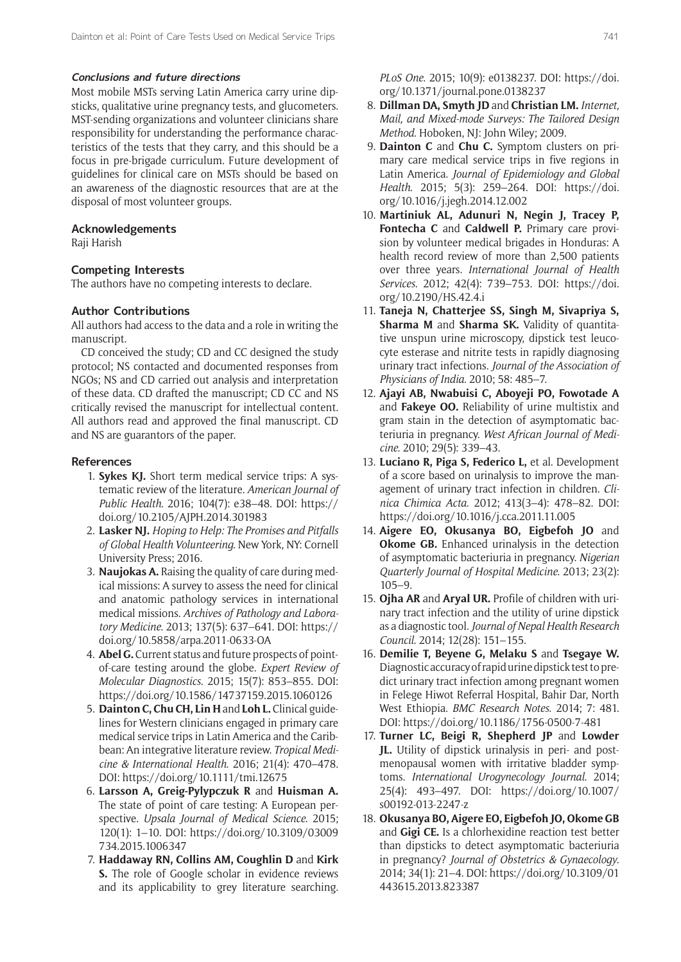## **Conclusions and future directions**

Most mobile MSTs serving Latin America carry urine dipsticks, qualitative urine pregnancy tests, and glucometers. MST-sending organizations and volunteer clinicians share responsibility for understanding the performance characteristics of the tests that they carry, and this should be a focus in pre-brigade curriculum. Future development of guidelines for clinical care on MSTs should be based on an awareness of the diagnostic resources that are at the disposal of most volunteer groups.

## **Acknowledgements**

Raji Harish

# **Competing Interests**

The authors have no competing interests to declare.

# **Author Contributions**

All authors had access to the data and a role in writing the manuscript.

CD conceived the study; CD and CC designed the study protocol; NS contacted and documented responses from NGOs; NS and CD carried out analysis and interpretation of these data. CD drafted the manuscript; CD CC and NS critically revised the manuscript for intellectual content. All authors read and approved the final manuscript. CD and NS are guarantors of the paper.

## **References**

- 1. **Sykes KJ.** Short term medical service trips: A systematic review of the literature. *American Journal of Public Health*. 2016; 104(7): e38–48. DOI: [https://](https://doi.org/10.2105/AJPH.2014.301983) [doi.org/10.2105/AJPH.2014.301983](https://doi.org/10.2105/AJPH.2014.301983)
- 2. **Lasker NJ.** *Hoping to Help: The Promises and Pitfalls of Global Health Volunteering*. New York, NY: Cornell University Press; 2016.
- 3. **Naujokas A.** Raising the quality of care during medical missions: A survey to assess the need for clinical and anatomic pathology services in international medical missions. *Archives of Pathology and Laboratory Medicine*. 2013; 137(5): 637–641. DOI: [https://](https://doi.org/10.5858/arpa.2011-0633-OA) [doi.org/10.5858/arpa.2011-0633-OA](https://doi.org/10.5858/arpa.2011-0633-OA)
- 4. **Abel G.** Current status and future prospects of pointof-care testing around the globe. *Expert Review of Molecular Diagnostics*. 2015; 15(7): 853–855. DOI: <https://doi.org/10.1586/14737159.2015.1060126>
- 5. **Dainton C, Chu CH, Lin H** and **Loh L.** Clinical guidelines for Western clinicians engaged in primary care medical service trips in Latin America and the Caribbean: An integrative literature review. *Tropical Medicine & International Health*. 2016; 21(4): 470–478. DOI:<https://doi.org/10.1111/tmi.12675>
- 6. **Larsson A, Greig-Pylypczuk R** and **Huisman A.** The state of point of care testing: A European perspective. *Upsala Journal of Medical Science*. 2015; 120(1): 1–10. DOI: [https://doi.org/10.3109/03009](https://doi.org/10.3109/03009734.2015.1006347) [734.2015.1006347](https://doi.org/10.3109/03009734.2015.1006347)
- 7. **Haddaway RN, Collins AM, Coughlin D** and **Kirk S.** The role of Google scholar in evidence reviews and its applicability to grey literature searching.

*PLoS One*. 2015; 10(9): e0138237. DOI: [https://doi.](https://doi.org/10.1371/journal.pone.0138237) [org/10.1371/journal.pone.0138237](https://doi.org/10.1371/journal.pone.0138237)

- 8. **Dillman DA, Smyth JD** and **Christian LM.** *Internet, Mail, and Mixed-mode Surveys: The Tailored Design Method*. Hoboken, NJ: John Wiley; 2009.
- 9. **Dainton C** and **Chu C.** Symptom clusters on primary care medical service trips in five regions in Latin America. *Journal of Epidemiology and Global Health*. 2015; 5(3): 259–264. DOI: [https://doi.](https://doi.org/10.1016/j.jegh.2014.12.002) [org/10.1016/j.jegh.2014.12.002](https://doi.org/10.1016/j.jegh.2014.12.002)
- 10. **Martiniuk AL, Adunuri N, Negin J, Tracey P, Fontecha C** and **Caldwell P.** Primary care provision by volunteer medical brigades in Honduras: A health record review of more than 2,500 patients over three years. *International Journal of Health Services*. 2012; 42(4): 739–753. DOI: [https://doi.](https://doi.org/10.2190/HS.42.4.i) [org/10.2190/HS.42.4.i](https://doi.org/10.2190/HS.42.4.i)
- 11. **Taneja N, Chatterjee SS, Singh M, Sivapriya S, Sharma M** and **Sharma SK.** Validity of quantitative unspun urine microscopy, dipstick test leucocyte esterase and nitrite tests in rapidly diagnosing urinary tract infections. *Journal of the Association of Physicians of India*. 2010; 58: 485–7.
- 12. **Ajayi AB, Nwabuisi C, Aboyeji PO, Fowotade A** and **Fakeye OO.** Reliability of urine multistix and gram stain in the detection of asymptomatic bacteriuria in pregnancy. *West African Journal of Medicine*. 2010; 29(5): 339–43.
- 13. **Luciano R, Piga S, Federico L,** et al. Development of a score based on urinalysis to improve the management of urinary tract infection in children. *Clinica Chimica Acta*. 2012; 413(3–4): 478–82. DOI: <https://doi.org/10.1016/j.cca.2011.11.005>
- 14. **Aigere EO, Okusanya BO, Eigbefoh JO** and **Okome GB.** Enhanced urinalysis in the detection of asymptomatic bacteriuria in pregnancy. *Nigerian Quarterly Journal of Hospital Medicine*. 2013; 23(2): 105–9.
- 15. **Ojha AR** and **Aryal UR.** Profile of children with urinary tract infection and the utility of urine dipstick as a diagnostic tool. *Journal of Nepal Health Research Council*. 2014; 12(28): 151–155.
- 16. **Demilie T, Beyene G, Melaku S** and **Tsegaye W.** Diagnostic accuracy of rapid urine dipstick test to predict urinary tract infection among pregnant women in Felege Hiwot Referral Hospital, Bahir Dar, North West Ethiopia. *BMC Research Notes*. 2014; 7: 481. DOI: <https://doi.org/10.1186/1756-0500-7-481>
- 17. **Turner LC, Beigi R, Shepherd JP** and **Lowder JL.** Utility of dipstick urinalysis in peri- and postmenopausal women with irritative bladder symptoms. *International Urogynecology Journal*. 2014; 25(4): 493–497. DOI: [https://doi.org/10.1007/](https://doi.org/10.1007/s00192-013-2247-z) [s00192-013-2247-z](https://doi.org/10.1007/s00192-013-2247-z)
- 18. **Okusanya BO, Aigere EO, Eigbefoh JO, Okome GB** and **Gigi CE.** Is a chlorhexidine reaction test better than dipsticks to detect asymptomatic bacteriuria in pregnancy? *Journal of Obstetrics & Gynaecology*. 2014; 34(1): 21–4. DOI: [https://doi.org/10.3109/01](https://doi.org/10.3109/01443615.2013.823387) [443615.2013.823387](https://doi.org/10.3109/01443615.2013.823387)